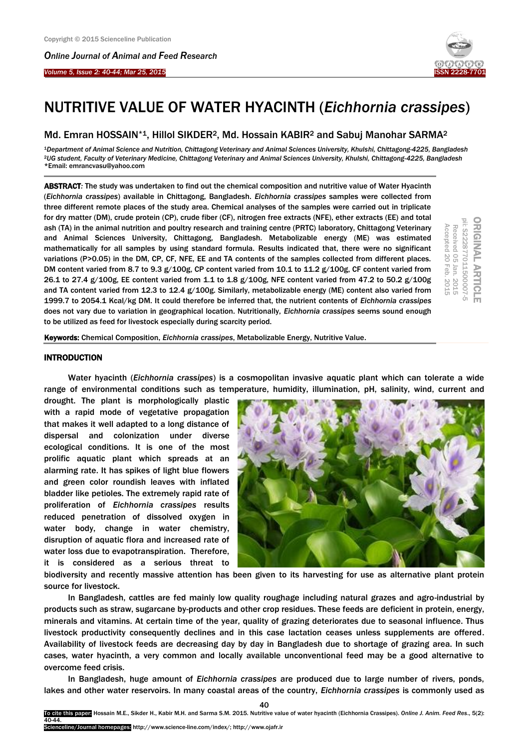*Online Journal of A[nimal and](http://www.ojafr.ir/main/) Feed Research*



# NUTRITIVE VALUE OF WATER HYACINTH (*Eichhornia crassipes*)

# Md. Emran HOSSAIN<sup>\*1</sup>, Hillol SIKDER<sup>2</sup>, Md. Hossain KABIR<sup>2</sup> and Sabuj Manohar SARMA<sup>2</sup>

<sup>1</sup>*Department of Animal Science and Nutrition, Chittagong Veterinary and Animal Sciences University, Khulshi, Chittagong-4225, Bangladesh* <sup>2</sup>*UG student, Faculty of Veterinary Medicine, Chittagong Veterinary and Animal Sciences University, Khulshi, Chittagong-4225, Bangladesh* \*Email: emrancvasu@yahoo.com

ABSTRACT*:* The study was undertaken to find out the chemical composition and nutritive value of Water Hyacinth (*Eichhornia crassipes*) available in Chittagong, Bangladesh. *Eichhornia crassipes* samples were collected from three different remote places of the study area. Chemical analyses of the samples were carried out in triplicate for dry matter (DM), crude protein (CP), crude fiber (CF), nitrogen free extracts (NFE), ether extracts (EE) and total ash (TA) in the animal nutrition and poultry research and training centre (PRTC) laboratory, Chittagong Veterinary and Animal Sciences University, Chittagong, Bangladesh. Metabolizable energy (ME) was estimated mathematically for all samples by using standard formula. Results indicated that, there were no significant variations (P>0.05) in the DM, CP, CF, NFE, EE and TA contents of the samples collected from different places. DM content varied from 8.7 to 9.3 g/100g, CP content varied from 10.1 to 11.2 g/100g, CF content varied from 26.1 to 27.4 g/100g, EE content varied from 1.1 to 1.8 g/100g, NFE content varied from 47.2 to 50.2 g/100g and TA content varied from 12.3 to 12.4 g/100g. Similarly, metabolizable energy (ME) content also varied from 1999.7 to 2054.1 Kcal/kg DM. It could therefore be inferred that, the nutrient contents of *Eichhornia crassipes* does not vary due to variation in geographical location. Nutritionally, *Eichhornia crassipes* seems sound enough to be utilized as feed for livestock especially during scarcity period.



Keywords: Chemical Composition, *Eichhornia crassipes*, Metabolizable Energy, Nutritive Value.

# **INTRODUCTION**

Water hyacinth (*Eichhornia crassipes*) is a cosmopolitan invasive aquatic plant which can tolerate a wide range of environmental conditions such as temperature, humidity, illumination, pH, salinity, wind, current and

drought. The plant is morphologically plastic with a rapid mode of vegetative propagation that makes it well adapted to a long distance of dispersal and colonization under diverse ecological conditions. It is one of the most prolific aquatic plant which spreads at an alarming rate. It has spikes of light blue flowers and green color roundish leaves with inflated bladder like petioles. The extremely rapid rate of proliferation of *Eichhornia crassipes* results reduced penetration of dissolved oxygen in water body, change in water chemistry, disruption of aquatic flora and increased rate of water loss due to evapotranspiration. Therefore, it is considered as a serious threat to



biodiversity and recently massive attention has been given to its harvesting for use as alternative plant protein source for livestock.

In Bangladesh, cattles are fed mainly low quality roughage including natural grazes and agro-industrial by products such as straw, sugarcane by-products and other crop residues. These feeds are deficient in protein, energy, minerals and vitamins. At certain time of the year, quality of grazing deteriorates due to seasonal influence. Thus livestock productivity consequently declines and in this case lactation ceases unless supplements are offered. Availability of livestock feeds are decreasing day by day in Bangladesh due to shortage of grazing area. In such cases, water hyacinth, a very common and locally available unconventional feed may be a good alternative to overcome feed crisis.

In Bangladesh, huge amount of *Eichhornia crassipes* are produced due to large number of rivers, ponds, lakes and other water reservoirs. In many coastal areas of the country, *Eichhornia crassipes* is commonly used as

40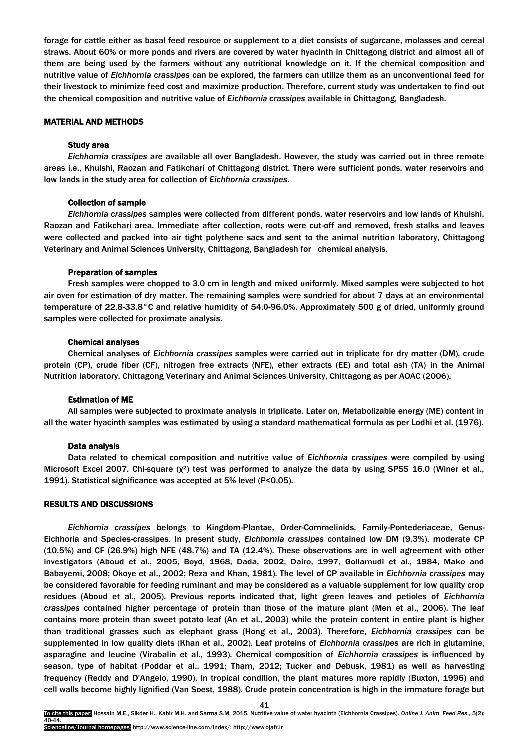forage for cattle either as basal feed resource or supplement to a diet consists of sugarcane, molasses and cereal straws. About 60% or more ponds and rivers are covered by water hyacinth in Chittagong district and almost all of them are being used by the farmers without any nutritional knowledge on it. If the chemical composition and nutritive value of *Eichhornia crassipes* can be explored, the farmers can utilize them as an unconventional feed for their livestock to minimize feed cost and maximize production. Therefore, current study was undertaken to find out the chemical composition and nutritive value of *Eichhornia crassipes* available in Chittagong, Bangladesh.

# MATERIAL AND METHODS

## Study area

*Eichhornia crassipes* are available all over Bangladesh. However, the study was carried out in three remote areas i.e., Khulshi, Raozan and Fatikchari of Chittagong district. There were sufficient ponds, water reservoirs and low lands in the study area for collection of *Eichhornia crassipes*.

## Collection of sample

*Eichhornia crassipes* samples were collected from different ponds, water reservoirs and low lands of Khulshi, Raozan and Fatikchari area. Immediate after collection, roots were cut-off and removed, fresh stalks and leaves were collected and packed into air tight polythene sacs and sent to the animal nutrition laboratory, Chittagong Veterinary and Animal Sciences University, Chittagong, Bangladesh for chemical analysis.

#### Preparation of samples

Fresh samples were chopped to 3.0 cm in length and mixed uniformly. Mixed samples were subjected to hot air oven for estimation of dry matter. The remaining samples were sundried for about 7 days at an environmental temperature of 22.8-33.8°C and relative humidity of 54.0-96.0%. Approximately 500 g of dried, uniformly ground samples were collected for proximate analysis.

#### Chemical analyses

Chemical analyses of *Eichhornia crassipes* samples were carried out in triplicate for dry matter (DM), crude protein (CP), crude fiber (CF), nitrogen free extracts (NFE), ether extracts (EE) and total ash (TA) in the Animal Nutrition laboratory, Chittagong Veterinary and Animal Sciences University, Chittagong as per AOAC (2006).

## Estimation of ME

All samples were subjected to proximate analysis in triplicate. Later on, Metabolizable energy (ME) content in all the water hyacinth samples was estimated by using a standard mathematical formula as per Lodhi et al. (1976).

# Data analysis

Data related to chemical composition and nutritive value of *Eichhornia crassipes* were compiled by using Microsoft Excel 2007. Chi-square (χ²) test was performed to analyze the data by using SPSS 16.0 (Winer et al., 1991). Statistical significance was accepted at 5% level (P<0.05).

## RESULTS AND DISCUSSIONS

*Eichhornia crassipes* belongs to Kingdom-Plantae, Order-Commelinids, Family-Pontederiaceae, Genus-Eichhoria and Species-crassipes. In present study, *Eichhornia crassipes* contained low DM (9.3%), moderate CP (10.5%) and CF (26.9%) high NFE (48.7%) and TA (12.4%). These observations are in well agreement with other investigators (Aboud et al., 2005; Boyd, 1968; Dada, 2002; Dairo, 1997; Gollamudi et al., 1984; Mako and Babayemi, 2008; Okoye et al., 2002; Reza and Khan, 1981). The level of CP available in *Eichhornia crassipes* may be considered favorable for feeding ruminant and may be considered as a valuable supplement for low quality crop residues (Aboud et al., 2005). Previous reports indicated that, light green leaves and petioles of *Eichhornia crassipes* contained higher percentage of protein than those of the mature plant (Men et al., 2006). The leaf contains more protein than sweet potato leaf (An et al., 2003) while the protein content in entire plant is higher than traditional grasses such as elephant grass (Hong et al., 2003). Therefore, *Eichhornia crassipes* can be supplemented in low quality diets (Khan et al., 2002). Leaf proteins of *Eichhornia crassipes* are rich in glutamine, asparagine and leucine (Virabalin et al., 1993). Chemical composition of *Eichhornia crassipes* is influenced by season, type of habitat (Poddar et al., 1991; Tham, 2012; Tucker and Debusk, 1981) as well as harvesting frequency (Reddy and D'Angelo, 1990). In tropical condition, the plant matures more rapidly (Buxton, 1996) and cell walls become highly lignified (Van Soest, 1988). Crude protein concentration is high in the immature forage but

41

To cite this paper: Hossain M.E., Sikder H., Kabir M.H. and Sarma S.M. 2015. Nutritive value of water hyacinth (Eichhornia Crassipes). *Online J. Anim. Feed Res*., 5(2): 40-44.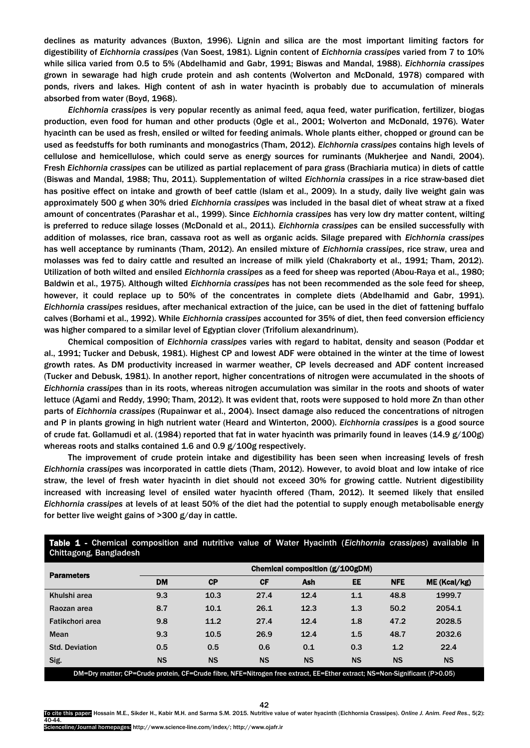declines as maturity advances (Buxton, 1996). Lignin and silica are the most important limiting factors for digestibility of *Eichhornia crassipes* (Van Soest, 1981). Lignin content of *Eichhornia crassipes* varied from 7 to 10% while silica varied from 0.5 to 5% (Abdelhamid and Gabr, 1991; Biswas and Mandal, 1988). *Eichhornia crassipes* grown in sewarage had high crude protein and ash contents (Wolverton and McDonald, 1978) compared with ponds, rivers and lakes. High content of ash in water hyacinth is probably due to accumulation of minerals absorbed from water (Boyd, 1968).

*Eichhornia crassipes* is very popular recently as animal feed, aqua feed, water purification, fertilizer, biogas production, even food for human and other products (Ogle et al., 2001; Wolverton and McDonald, 1976). Water hyacinth can be used as fresh, ensiled or wilted for feeding animals. Whole plants either, chopped or ground can be used as feedstuffs for both ruminants and monogastrics (Tham, 2012). *Eichhornia crassipes* contains high levels of cellulose and hemicellulose, which could serve as energy sources for ruminants (Mukherjee and Nandi, 2004). Fresh *Eichhornia crassipes* can be utilized as partial replacement of para grass (Brachiaria mutica) in diets of cattle (Biswas and Mandal, 1988; Thu, 2011). Supplementation of wilted *Eichhornia crassipes* in a rice straw-based diet has positive effect on intake and growth of beef cattle (Islam et al., 2009). In a study, daily live weight gain was approximately 500 g when 30% dried *Eichhornia crassipes* was included in the basal diet of wheat straw at a fixed amount of concentrates (Parashar et al., 1999). Since *Eichhornia crassipes* has very low dry matter content, wilting is preferred to reduce silage losses (McDonald et al., 2011). *Eichhornia crassipes* can be ensiled successfully with addition of molasses, rice bran, cassava root as well as organic acids. Silage prepared with *Eichhornia crassipes* has well acceptance by ruminants (Tham, 2012). An ensiled mixture of *Eichhornia crassipes*, rice straw, urea and molasses was fed to dairy cattle and resulted an increase of milk yield (Chakraborty et al., 1991; Tham, 2012). Utilization of both wilted and ensiled *Eichhornia crassipes* as a feed for sheep was reported (Abou-Raya et al., 1980; Baldwin et al., 1975). Although wilted *Eichhornia crassipes* has not been recommended as the sole feed for sheep, however, it could replace up to 50% of the concentrates in complete diets (Abdelhamid and Gabr, 1991). *Eichhornia crassipes* residues, after mechanical extraction of the juice, can be used in the diet of fattening buffalo calves (Borhami et al., 1992). While *Eichhornia crassipes* accounted for 35% of diet, then feed conversion efficiency was higher compared to a similar level of Egyptian clover (Trifolium alexandrinum).

Chemical composition of *Eichhornia crassipes* varies with regard to habitat, density and season (Poddar et al., 1991; Tucker and Debusk, 1981). Highest CP and lowest ADF were obtained in the winter at the time of lowest growth rates. As DM productivity increased in warmer weather, CP levels decreased and ADF content increased (Tucker and Debusk, 1981). In another report, higher concentrations of nitrogen were accumulated in the shoots of *Eichhornia crassipes* than in its roots, whereas nitrogen accumulation was similar in the roots and shoots of water lettuce (Agami and Reddy, 1990; Tham, 2012). It was evident that, roots were supposed to hold more Zn than other parts of *Eichhornia crassipes* (Rupainwar et al., 2004). Insect damage also reduced the concentrations of nitrogen and P in plants growing in high nutrient water (Heard and Winterton, 2000). *Eichhornia crassipes* is a good source of crude fat. Gollamudi et al. (1984) reported that fat in water hyacinth was primarily found in leaves (14.9 g/100g) whereas roots and stalks contained 1.6 and 0.9 g/100g respectively.

The improvement of crude protein intake and digestibility has been seen when increasing levels of fresh *Eichhornia crassipes* was incorporated in cattle diets (Tham, 2012). However, to avoid bloat and low intake of rice straw, the level of fresh water hyacinth in diet should not exceed 30% for growing cattle. Nutrient digestibility increased with increasing level of ensiled water hyacinth offered (Tham, 2012). It seemed likely that ensiled *Eichhornia crassipes* at levels of at least 50% of the diet had the potential to supply enough metabolisable energy for better live weight gains of >300 g/day in cattle.

| Ullitiagulig, Daligiaucsii                                                                                                |                                 |           |           |           |           |            |              |  |
|---------------------------------------------------------------------------------------------------------------------------|---------------------------------|-----------|-----------|-----------|-----------|------------|--------------|--|
| <b>Parameters</b>                                                                                                         | Chemical composition (g/100gDM) |           |           |           |           |            |              |  |
|                                                                                                                           | <b>DM</b>                       | CP        | <b>CF</b> | Ash       | <b>EE</b> | <b>NFE</b> | ME (Kcal/kg) |  |
| Khulshi area                                                                                                              | 9.3                             | 10.3      | 27.4      | 12.4      | 1.1       | 48.8       | 1999.7       |  |
| Raozan area                                                                                                               | 8.7                             | 10.1      | 26.1      | 12.3      | 1.3       | 50.2       | 2054.1       |  |
| Fatikchori area                                                                                                           | 9.8                             | 11.2      | 27.4      | 12.4      | 1.8       | 47.2       | 2028.5       |  |
| Mean                                                                                                                      | 9.3                             | 10.5      | 26.9      | 12.4      | 1.5       | 48.7       | 2032.6       |  |
| <b>Std. Deviation</b>                                                                                                     | 0.5                             | 0.5       | 0.6       | 0.1       | 0.3       | 1.2        | 22.4         |  |
| Sig.                                                                                                                      | <b>NS</b>                       | <b>NS</b> | <b>NS</b> | <b>NS</b> | <b>NS</b> | <b>NS</b>  | <b>NS</b>    |  |
| DM=Dry matter; CP=Crude protein, CF=Crude fibre, NFE=Nitrogen free extract, EE=Ether extract; NS=Non-Significant (P>0.05) |                                 |           |           |           |           |            |              |  |

Table 1 - Chemical composition and nutritive value of Water Hyacinth (*Eichhornia crassipes*) available in Chittagong, Bangladesh

42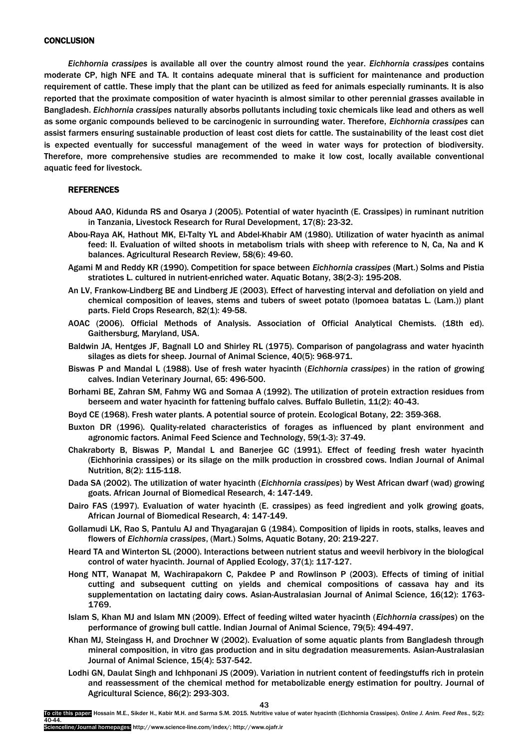*Eichhornia crassipes* is available all over the country almost round the year. *Eichhornia crassipes* contains moderate CP, high NFE and TA. It contains adequate mineral that is sufficient for maintenance and production requirement of cattle. These imply that the plant can be utilized as feed for animals especially ruminants. It is also reported that the proximate composition of water hyacinth is almost similar to other perennial grasses available in Bangladesh. *Eichhornia crassipes* naturally absorbs pollutants including toxic chemicals like lead and others as well as some organic compounds believed to be carcinogenic in surrounding water. Therefore, *Eichhornia crassipes* can assist farmers ensuring sustainable production of least cost diets for cattle. The sustainability of the least cost diet is expected eventually for successful management of the weed in water ways for protection of biodiversity. Therefore, more comprehensive studies are recommended to make it low cost, locally available conventional aquatic feed for livestock.

# REFERENCES

- Aboud AAO, Kidunda RS and Osarya J (2005). Potential of water hyacinth (E. Crassipes) in ruminant nutrition in Tanzania, Livestock Research for Rural Development, 17(8): 23-32.
- Abou-Raya AK, Hathout MK, El-Talty YL and Abdel-Khabir AM (1980). Utilization of water hyacinth as animal feed: II. Evaluation of wilted shoots in metabolism trials with sheep with reference to N, Ca, Na and K balances. Agricultural Research Review, 58(6): 49-60.
- Agami M and Reddy KR (1990). Competition for space between *Eichhornia crassipes* (Mart.) Solms and Pistia stratiotes L. cultured in nutrient-enriched water. Aquatic Botany, 38(2-3): 195-208.
- An LV, Frankow-Lindberg BE and Lindberg JE (2003). Effect of harvesting interval and defoliation on yield and chemical composition of leaves, stems and tubers of sweet potato (Ipomoea batatas L. (Lam.)) plant parts. Field Crops Research, 82(1): 49-58.
- AOAC (2006). Official Methods of Analysis. Association of Official Analytical Chemists. (18th ed). Gaithersburg, Maryland, USA.
- Baldwin JA, Hentges JF, Bagnall LO and Shirley RL (1975). Comparison of pangolagrass and water hyacinth silages as diets for sheep. Journal of Animal Science, 40(5): 968-971.
- Biswas P and Mandal L (1988). Use of fresh water hyacinth (*Eichhornia crassipes*) in the ration of growing calves. Indian Veterinary Journal, 65: 496-500.
- Borhami BE, Zahran SM, Fahmy WG and Somaa A (1992). The utilization of protein extraction residues from berseem and water hyacinth for fattening buffalo calves. Buffalo Bulletin, 11(2): 40-43.
- Boyd CE (1968). Fresh water plants. A potential source of protein. Ecological Botany, 22: 359-368.
- Buxton DR (1996). Quality-related characteristics of forages as influenced by plant environment and agronomic factors. Animal Feed Science and Technology, 59(1-3): 37-49.
- Chakraborty B, Biswas P, Mandal L and Banerjee GC (1991). Effect of feeding fresh water hyacinth (Eichhorinia crassipes) or its silage on the milk production in crossbred cows. Indian Journal of Animal Nutrition, 8(2): 115-118.
- Dada SA (2002). The utilization of water hyacinth (*Eichhornia crassipes*) by West African dwarf (wad) growing goats. African Journal of Biomedical Research, 4: 147-149.
- Dairo FAS (1997). Evaluation of water hyacinth (E. crassipes) as feed ingredient and yolk growing goats, African Journal of Biomedical Research, 4: 147-149.
- Gollamudi LK, Rao S, Pantulu AJ and Thyagarajan G (1984). Composition of lipids in roots, stalks, leaves and flowers of *Eichhornia crassipes*, (Mart.) Solms, Aquatic Botany, 20: 219-227.
- Heard TA and Winterton SL (2000). Interactions between nutrient status and weevil herbivory in the biological control of water hyacinth. Journal of Applied Ecology, 37(1): 117-127.
- Hong NTT, Wanapat M, Wachirapakorn C, Pakdee P and Rowlinson P (2003). Effects of timing of initial cutting and subsequent cutting on yields and chemical compositions of cassava hay and its supplementation on lactating dairy cows. Asian-Australasian Journal of Animal Science, 16(12): 1763- 1769.
- Islam S, Khan MJ and Islam MN (2009). Effect of feeding wilted water hyacinth (*Eichhornia crassipes*) on the performance of growing bull cattle. Indian Journal of Animal Science, 79(5): 494-497.
- Khan MJ, Steingass H, and Drochner W (2002). Evaluation of some aquatic plants from Bangladesh through mineral composition, in vitro gas production and in situ degradation measurements. Asian-Australasian Journal of Animal Science, 15(4): 537-542.
- Lodhi GN, Daulat Singh and Ichhponani JS (2009). Variation in nutrient content of feedingstuffs rich in protein and reassessment of the chemical method for metabolizable energy estimation for poultry. Journal of Agricultural Science, 86(2): 293-303.

To cite this paper: Hossain M.E., Sikder H., Kabir M.H. and Sarma S.M. 2015. Nutritive value of water hyacinth (Eichhornia Crassipes). *Online J. Anim. Feed Res*., 5(2): 40-44.